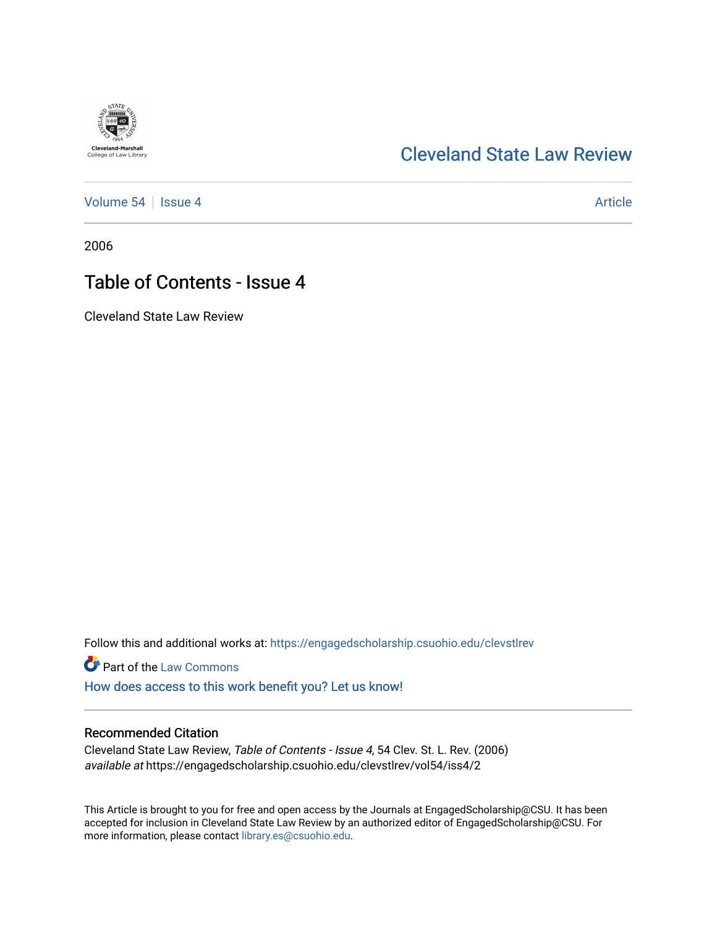## [Cleveland State Law Review](https://engagedscholarship.csuohio.edu/clevstlrev)

[Volume 54](https://engagedscholarship.csuohio.edu/clevstlrev/vol54) | [Issue 4](https://engagedscholarship.csuohio.edu/clevstlrev/vol54/iss4) Article

2006

## Table of Contents - Issue 4

Cleveland State Law Review

Follow this and additional works at: [https://engagedscholarship.csuohio.edu/clevstlrev](https://engagedscholarship.csuohio.edu/clevstlrev?utm_source=engagedscholarship.csuohio.edu%2Fclevstlrev%2Fvol54%2Fiss4%2F2&utm_medium=PDF&utm_campaign=PDFCoverPages)

**Part of the [Law Commons](http://network.bepress.com/hgg/discipline/578?utm_source=engagedscholarship.csuohio.edu%2Fclevstlrev%2Fvol54%2Fiss4%2F2&utm_medium=PDF&utm_campaign=PDFCoverPages)** 

[How does access to this work benefit you? Let us know!](http://library.csuohio.edu/engaged/)

#### Recommended Citation

Cleveland State Law Review, Table of Contents - Issue 4, 54 Clev. St. L. Rev. (2006) available at https://engagedscholarship.csuohio.edu/clevstlrev/vol54/iss4/2

This Article is brought to you for free and open access by the Journals at EngagedScholarship@CSU. It has been accepted for inclusion in Cleveland State Law Review by an authorized editor of EngagedScholarship@CSU. For more information, please contact [library.es@csuohio.edu](mailto:library.es@csuohio.edu).